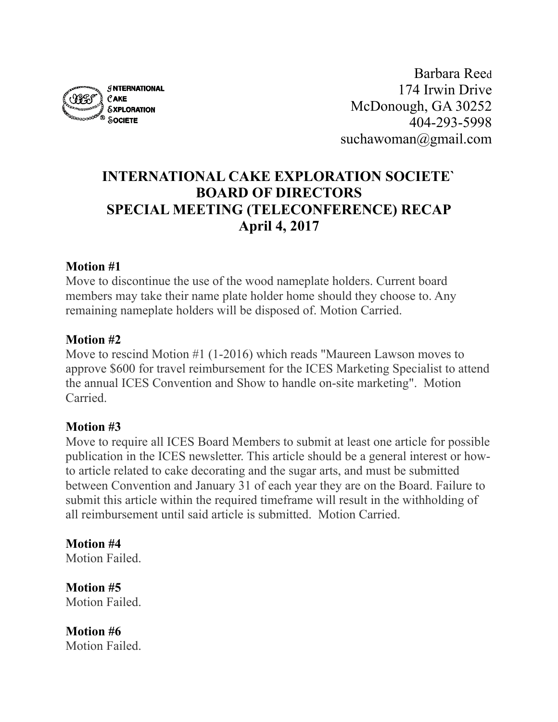

Barbara Reed 174 Irwin Drive McDonough, GA 30252 404-293-5998 suchawoman@gmail.com

# **INTERNATIONAL CAKE EXPLORATION SOCIETE` BOARD OF DIRECTORS SPECIAL MEETING (TELECONFERENCE) RECAP April 4, 2017**

#### **Motion #1**

Move to discontinue the use of the wood nameplate holders. Current board members may take their name plate holder home should they choose to. Any remaining nameplate holders will be disposed of. Motion Carried.

#### **Motion #2**

Move to rescind Motion #1 (1-2016) which reads "Maureen Lawson moves to approve \$600 for travel reimbursement for the ICES Marketing Specialist to attend the annual ICES Convention and Show to handle on-site marketing". Motion **Carried** 

#### **Motion #3**

Move to require all ICES Board Members to submit at least one article for possible publication in the ICES newsletter. This article should be a general interest or howto article related to cake decorating and the sugar arts, and must be submitted between Convention and January 31 of each year they are on the Board. Failure to submit this article within the required timeframe will result in the withholding of all reimbursement until said article is submitted. Motion Carried.

**Motion #4** Motion Failed.

**Motion #5**  Motion Failed.

**Motion #6**  Motion Failed.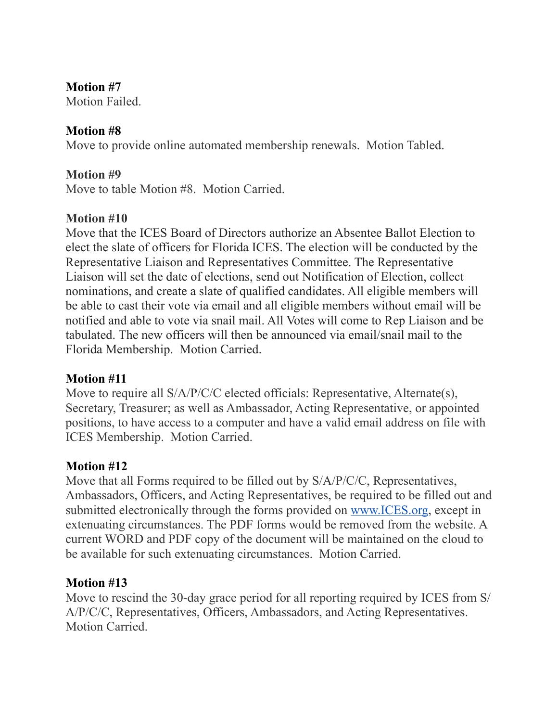#### **Motion #7**

Motion Failed.

### **Motion #8**

Move to provide online automated membership renewals. Motion Tabled.

### **Motion #9**

Move to table Motion #8. Motion Carried.

#### **Motion #10**

Move that the ICES Board of Directors authorize an Absentee Ballot Election to elect the slate of officers for Florida ICES. The election will be conducted by the Representative Liaison and Representatives Committee. The Representative Liaison will set the date of elections, send out Notification of Election, collect nominations, and create a slate of qualified candidates. All eligible members will be able to cast their vote via email and all eligible members without email will be notified and able to vote via snail mail. All Votes will come to Rep Liaison and be tabulated. The new officers will then be announced via email/snail mail to the Florida Membership. Motion Carried.

#### **Motion #11**

Move to require all S/A/P/C/C elected officials: Representative, Alternate(s), Secretary, Treasurer; as well as Ambassador, Acting Representative, or appointed positions, to have access to a computer and have a valid email address on file with ICES Membership. Motion Carried.

#### **Motion #12**

Move that all Forms required to be filled out by  $S/A/P/C/C$ , Representatives, Ambassadors, Officers, and Acting Representatives, be required to be filled out and submitted electronically through the forms provided on [www.ICES.org](http://www.ices.org), except in extenuating circumstances. The PDF forms would be removed from the website. A current WORD and PDF copy of the document will be maintained on the cloud to be available for such extenuating circumstances. Motion Carried.

#### **Motion #13**

Move to rescind the 30-day grace period for all reporting required by ICES from S/ A/P/C/C, Representatives, Officers, Ambassadors, and Acting Representatives. Motion Carried.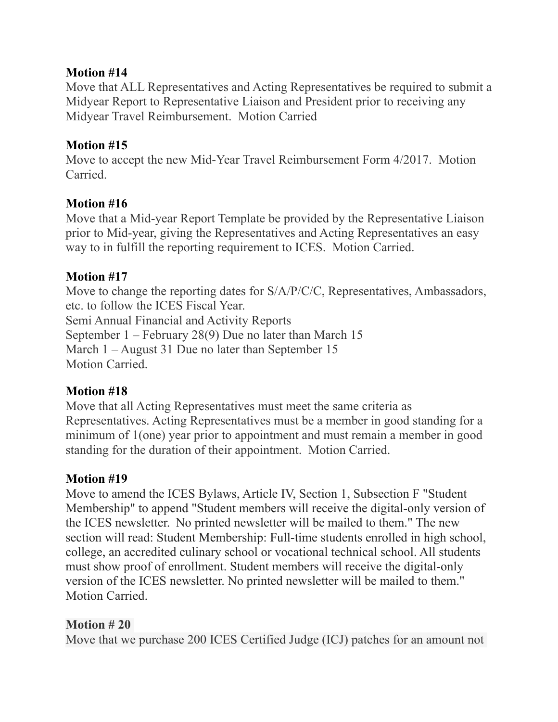#### **Motion #14**

Move that ALL Representatives and Acting Representatives be required to submit a Midyear Report to Representative Liaison and President prior to receiving any Midyear Travel Reimbursement. Motion Carried

### **Motion #15**

Move to accept the new Mid-Year Travel Reimbursement Form 4/2017. Motion **Carried** 

### **Motion #16**

Move that a Mid-year Report Template be provided by the Representative Liaison prior to Mid-year, giving the Representatives and Acting Representatives an easy way to in fulfill the reporting requirement to ICES. Motion Carried.

### **Motion #17**

Move to change the reporting dates for  $S/A/P/C/C$ , Representatives, Ambassadors, etc. to follow the ICES Fiscal Year. Semi Annual Financial and Activity Reports September 1 – February 28(9) Due no later than March 15 March 1 – August 31 Due no later than September 15 Motion Carried.

# **Motion #18**

Move that all Acting Representatives must meet the same criteria as Representatives. Acting Representatives must be a member in good standing for a minimum of 1(one) year prior to appointment and must remain a member in good standing for the duration of their appointment. Motion Carried.

# **Motion #19**

Move to amend the ICES Bylaws, Article IV, Section 1, Subsection F "Student Membership" to append "Student members will receive the digital-only version of the ICES newsletter. No printed newsletter will be mailed to them." The new section will read: Student Membership: Full-time students enrolled in high school, college, an accredited culinary school or vocational technical school. All students must show proof of enrollment. Student members will receive the digital-only version of the ICES newsletter. No printed newsletter will be mailed to them." Motion Carried.

#### **Motion # 20**

Move that we purchase 200 ICES Certified Judge (ICJ) patches for an amount not